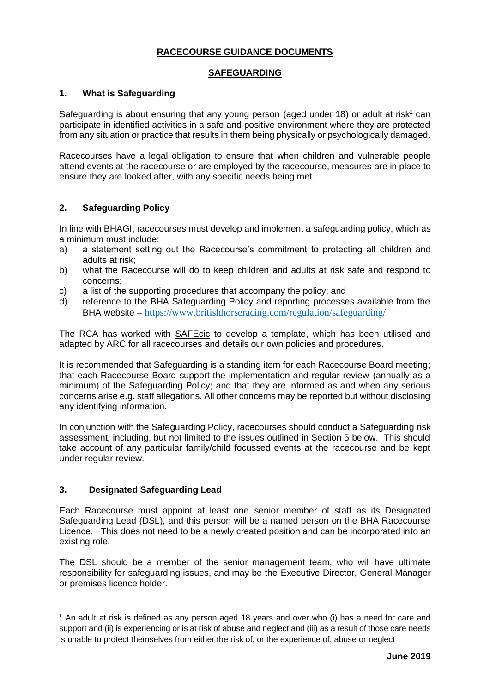# **RACECOURSE GUIDANCE DOCUMENTS**

### **SAFEGUARDING**

## **1. What is Safeguarding**

Safeguarding is about ensuring that any young person (aged under 18) or adult at risk<sup>1</sup> can participate in identified activities in a safe and positive environment where they are protected from any situation or practice that results in them being physically or psychologically damaged.

Racecourses have a legal obligation to ensure that when children and vulnerable people attend events at the racecourse or are employed by the racecourse, measures are in place to ensure they are looked after, with any specific needs being met.

## **2. Safeguarding Policy**

In line with BHAGI, racecourses must develop and implement a safeguarding policy, which as a minimum must include:

- a) a statement setting out the Racecourse's commitment to protecting all children and adults at risk;
- b) what the Racecourse will do to keep children and adults at risk safe and respond to concerns;
- c) a list of the supporting procedures that accompany the policy; and
- d) reference to the BHA Safeguarding Policy and reporting processes available from the BHA website – <https://www.britishhorseracing.com/regulation/safeguarding/>

The RCA has worked with [SAFEcic](https://www.safecic.co.uk/) to develop a template, which has been utilised and adapted by ARC for all racecourses and details our own policies and procedures.

It is recommended that Safeguarding is a standing item for each Racecourse Board meeting; that each Racecourse Board support the implementation and regular review (annually as a minimum) of the Safeguarding Policy; and that they are informed as and when any serious concerns arise e.g. staff allegations. All other concerns may be reported but without disclosing any identifying information.

In conjunction with the Safeguarding Policy, racecourses should conduct a Safeguarding risk assessment, including, but not limited to the issues outlined in Section 5 below. This should take account of any particular family/child focussed events at the racecourse and be kept under regular review.

## **3. Designated Safeguarding Lead**

Each Racecourse must appoint at least one senior member of staff as its Designated Safeguarding Lead (DSL), and this person will be a named person on the BHA Racecourse Licence. This does not need to be a newly created position and can be incorporated into an existing role.

The DSL should be a member of the senior management team, who will have ultimate responsibility for safeguarding issues, and may be the Executive Director, General Manager or premises licence holder.

<sup>&</sup>lt;sup>1</sup> An adult at risk is defined as any person aged 18 years and over who (i) has a need for care and support and (ii) is experiencing or is at risk of abuse and neglect and (iii) as a result of those care needs is unable to protect themselves from either the risk of, or the experience of, abuse or neglect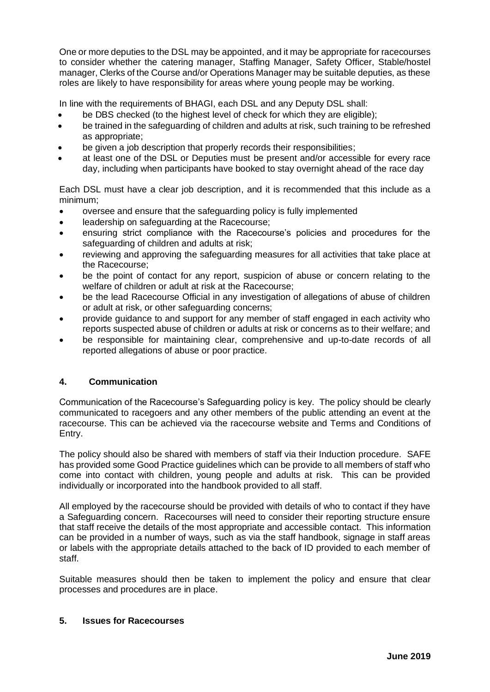One or more deputies to the DSL may be appointed, and it may be appropriate for racecourses to consider whether the catering manager, Staffing Manager, Safety Officer, Stable/hostel manager, Clerks of the Course and/or Operations Manager may be suitable deputies, as these roles are likely to have responsibility for areas where young people may be working.

In line with the requirements of BHAGI, each DSL and any Deputy DSL shall:

- be DBS checked (to the highest level of check for which they are eligible);
- be trained in the safeguarding of children and adults at risk, such training to be refreshed as appropriate;
- be given a job description that properly records their responsibilities;
- at least one of the DSL or Deputies must be present and/or accessible for every race day, including when participants have booked to stay overnight ahead of the race day

Each DSL must have a clear job description, and it is recommended that this include as a minimum;

- oversee and ensure that the safeguarding policy is fully implemented
- leadership on safeguarding at the Racecourse;
- ensuring strict compliance with the Racecourse's policies and procedures for the safeguarding of children and adults at risk;
- reviewing and approving the safeguarding measures for all activities that take place at the Racecourse;
- be the point of contact for any report, suspicion of abuse or concern relating to the welfare of children or adult at risk at the Racecourse;
- be the lead Racecourse Official in any investigation of allegations of abuse of children or adult at risk, or other safeguarding concerns;
- provide guidance to and support for any member of staff engaged in each activity who reports suspected abuse of children or adults at risk or concerns as to their welfare; and
- be responsible for maintaining clear, comprehensive and up-to-date records of all reported allegations of abuse or poor practice.

# **4. Communication**

Communication of the Racecourse's Safeguarding policy is key. The policy should be clearly communicated to racegoers and any other members of the public attending an event at the racecourse. This can be achieved via the racecourse website and Terms and Conditions of Entry.

The policy should also be shared with members of staff via their Induction procedure. SAFE has provided some Good Practice guidelines which can be provide to all members of staff who come into contact with children, young people and adults at risk. This can be provided individually or incorporated into the handbook provided to all staff.

All employed by the racecourse should be provided with details of who to contact if they have a Safeguarding concern. Racecourses will need to consider their reporting structure ensure that staff receive the details of the most appropriate and accessible contact. This information can be provided in a number of ways, such as via the staff handbook, signage in staff areas or labels with the appropriate details attached to the back of ID provided to each member of staff.

Suitable measures should then be taken to implement the policy and ensure that clear processes and procedures are in place.

#### **5. Issues for Racecourses**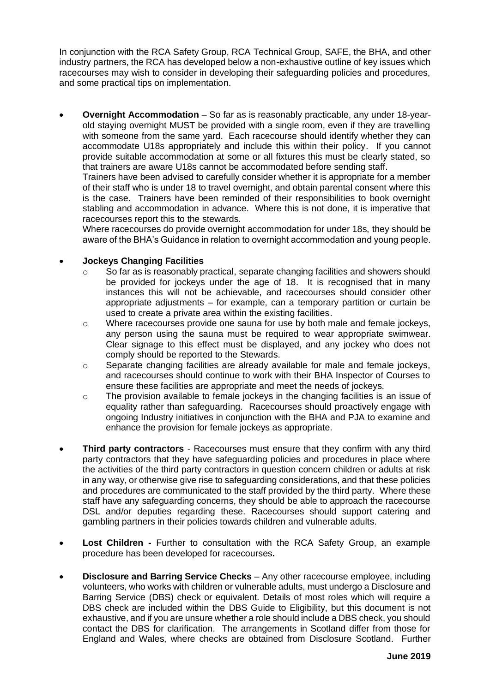In conjunction with the RCA Safety Group, RCA Technical Group, SAFE, the BHA, and other industry partners, the RCA has developed below a non-exhaustive outline of key issues which racecourses may wish to consider in developing their safeguarding policies and procedures, and some practical tips on implementation.

• **Overnight Accommodation** – So far as is reasonably practicable, any under 18-yearold staying overnight MUST be provided with a single room, even if they are travelling with someone from the same yard. Each racecourse should identify whether they can accommodate U18s appropriately and include this within their policy. If you cannot provide suitable accommodation at some or all fixtures this must be clearly stated, so that trainers are aware U18s cannot be accommodated before sending staff.

Trainers have been advised to carefully consider whether it is appropriate for a member of their staff who is under 18 to travel overnight, and obtain parental consent where this is the case. Trainers have been reminded of their responsibilities to book overnight stabling and accommodation in advance. Where this is not done, it is imperative that racecourses report this to the stewards.

Where racecourses do provide overnight accommodation for under 18s, they should be aware of the BHA's Guidance in relation to overnight accommodation and young people.

### • **Jockeys Changing Facilities**

- $\circ$  So far as is reasonably practical, separate changing facilities and showers should be provided for jockeys under the age of 18. It is recognised that in many instances this will not be achievable, and racecourses should consider other appropriate adjustments – for example, can a temporary partition or curtain be used to create a private area within the existing facilities.
- $\circ$  Where racecourses provide one sauna for use by both male and female jockeys, any person using the sauna must be required to wear appropriate swimwear. Clear signage to this effect must be displayed, and any jockey who does not comply should be reported to the Stewards.
- o Separate changing facilities are already available for male and female jockeys, and racecourses should continue to work with their BHA Inspector of Courses to ensure these facilities are appropriate and meet the needs of jockeys.
- o The provision available to female jockeys in the changing facilities is an issue of equality rather than safeguarding. Racecourses should proactively engage with ongoing Industry initiatives in conjunction with the BHA and PJA to examine and enhance the provision for female jockeys as appropriate.
- **Third party contractors** Racecourses must ensure that they confirm with any third party contractors that they have safeguarding policies and procedures in place where the activities of the third party contractors in question concern children or adults at risk in any way, or otherwise give rise to safeguarding considerations, and that these policies and procedures are communicated to the staff provided by the third party. Where these staff have any safeguarding concerns, they should be able to approach the racecourse DSL and/or deputies regarding these. Racecourses should support catering and gambling partners in their policies towards children and vulnerable adults.
- **Lost Children -** Further to consultation with the RCA Safety Group, an example procedure has been developed for racecourses**.**
- **Disclosure and Barring Service Checks** Any other racecourse employee, including volunteers, who works with children or vulnerable adults, must undergo a [Disclosure and](https://www.gov.uk/government/organisations/disclosure-and-barring-service)  [Barring Service](https://www.gov.uk/government/organisations/disclosure-and-barring-service) (DBS) check or equivalent. Details of most roles which will require a DBS check are included within the [DBS Guide to Eligibility](https://www.gov.uk/government/publications/dbs-check-eligible-positions-guidance), but this document is not exhaustive, and if you are unsure whether a role should include a DBS check, you should contact the DBS for clarification. The arrangements in Scotland differ from those for England and Wales, where checks are obtained from [Disclosure Scotland.](http://www.disclosurescotland.co.uk/) Further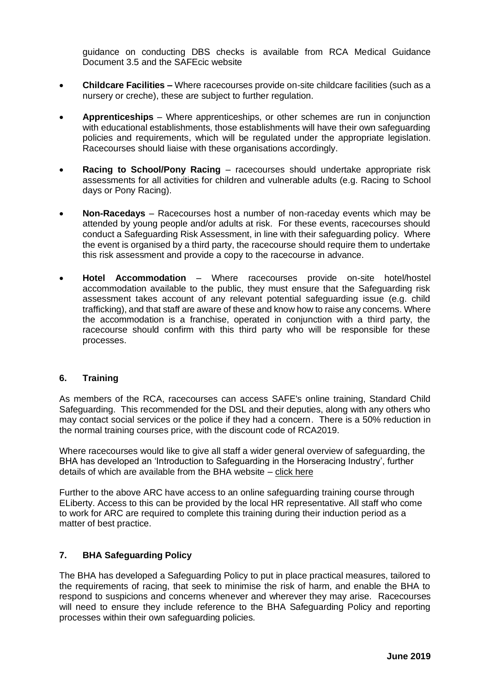guidance on conducting DBS checks is available from RCA Medical Guidance Document 3.5 and the [SAFEcic website](https://www.safecic.co.uk/freebies/2-uncategorised/335-dbs-links)

- **Childcare Facilities –** Where racecourses provide on-site childcare facilities (such as a nursery or creche), these are subject to further regulation.
- **Apprenticeships** Where apprenticeships, or other schemes are run in conjunction with educational establishments, those establishments will have their own safeguarding policies and requirements, which will be regulated under the appropriate legislation. Racecourses should liaise with these organisations accordingly.
- **Racing to School/Pony Racing** racecourses should undertake appropriate risk assessments for all activities for children and vulnerable adults (e.g. Racing to School days or Pony Racing).
- **Non-Racedays** Racecourses host a number of non-raceday events which may be attended by young people and/or adults at risk. For these events, racecourses should conduct a Safeguarding Risk Assessment, in line with their safeguarding policy. Where the event is organised by a third party, the racecourse should require them to undertake this risk assessment and provide a copy to the racecourse in advance.
- **Hotel Accommodation** Where racecourses provide on-site hotel/hostel accommodation available to the public, they must ensure that the Safeguarding risk assessment takes account of any relevant potential safeguarding issue (e.g. child trafficking), and that staff are aware of these and know how to raise any concerns. Where the accommodation is a franchise, operated in conjunction with a third party, the racecourse should confirm with this third party who will be responsible for these processes.

#### **6. Training**

As members of the RCA, racecourses can access SAFE's online training, Standard Child Safeguarding. This recommended for the DSL and their deputies, along with any others who may contact social services or the police if they had a concern. There is a 50% reduction in the normal training courses price, with the discount code of RCA2019.

Where racecourses would like to give all staff a wider general overview of safeguarding, the BHA has developed an 'Introduction to Safeguarding in the Horseracing Industry', further details of which are available from the BHA website – [click here](https://www.britishhorseracing.com/regulation/safeguarding/)

Further to the above ARC have access to an online safeguarding training course through ELiberty. Access to this can be provided by the local HR representative. All staff who come to work for ARC are required to complete this training during their induction period as a matter of best practice.

## **7. BHA Safeguarding Policy**

The BHA has developed a Safeguarding Policy to put in place practical measures, tailored to the requirements of racing, that seek to minimise the risk of harm, and enable the BHA to respond to suspicions and concerns whenever and wherever they may arise. Racecourses will need to ensure they include reference to the BHA Safeguarding Policy and reporting processes within their own safeguarding policies.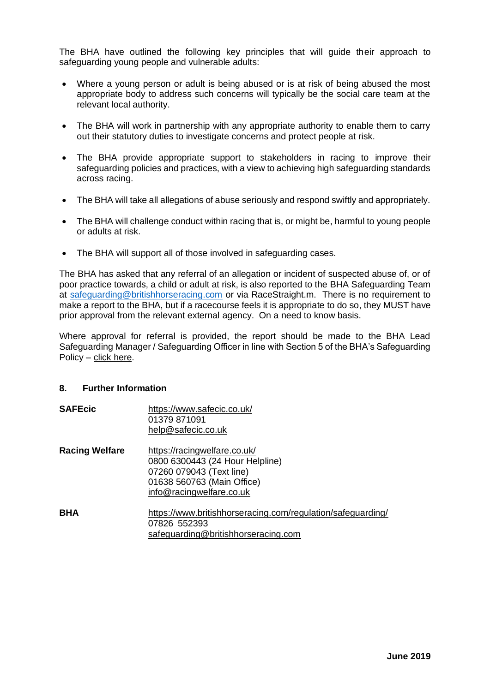The BHA have outlined the following key principles that will guide their approach to safeguarding young people and vulnerable adults:

- Where a young person or adult is being abused or is at risk of being abused the most appropriate body to address such concerns will typically be the social care team at the relevant local authority.
- The BHA will work in partnership with any appropriate authority to enable them to carry out their statutory duties to investigate concerns and protect people at risk.
- The BHA provide appropriate support to stakeholders in racing to improve their safeguarding policies and practices, with a view to achieving high safeguarding standards across racing.
- The BHA will take all allegations of abuse seriously and respond swiftly and appropriately.
- The BHA will challenge conduct within racing that is, or might be, harmful to young people or adults at risk.
- The BHA will support all of those involved in safeguarding cases.

The BHA has asked that any referral of an allegation or incident of suspected abuse of, or of poor practice towards, a child or adult at risk, is also reported to the BHA Safeguarding Team at [safeguarding@britishhorseracing.com](mailto:safeguarding@britishhorseracing.com) or via RaceStraight.m. There is no requirement to make a report to the BHA, but if a racecourse feels it is appropriate to do so, they MUST have prior approval from the relevant external agency. On a need to know basis.

Where approval for referral is provided, the report should be made to the BHA Lead Safeguarding Manager / Safeguarding Officer in line with Section 5 of the BHA's Safeguarding Policy – [click here.](https://www.britishhorseracing.com/wp-content/uploads/2018/12/BHA-Safeguarding-Policy-December-2018-1.pdf.)

#### **8. Further Information**

| <b>SAFEcic</b>        | https://www.safecic.co.uk/<br>01379 871091<br>help@safecic.co.uk                                                                                      |
|-----------------------|-------------------------------------------------------------------------------------------------------------------------------------------------------|
| <b>Racing Welfare</b> | https://racingwelfare.co.uk/<br>0800 6300443 (24 Hour Helpline)<br>07260 079043 (Text line)<br>01638 560763 (Main Office)<br>info@racingwelfare.co.uk |
| BHA                   | https://www.britishhorseracing.com/regulation/safeguarding/<br>07826 552393<br>safeguarding@britishhorseracing.com                                    |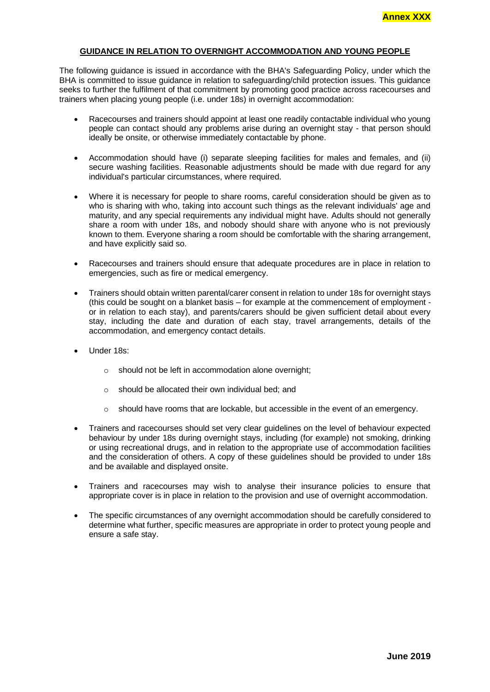#### **GUIDANCE IN RELATION TO OVERNIGHT ACCOMMODATION AND YOUNG PEOPLE**

The following guidance is issued in accordance with the BHA's Safeguarding Policy, under which the BHA is committed to issue guidance in relation to safeguarding/child protection issues. This guidance seeks to further the fulfilment of that commitment by promoting good practice across racecourses and trainers when placing young people (i.e. under 18s) in overnight accommodation:

- Racecourses and trainers should appoint at least one readily contactable individual who young people can contact should any problems arise during an overnight stay - that person should ideally be onsite, or otherwise immediately contactable by phone.
- Accommodation should have (i) separate sleeping facilities for males and females, and (ii) secure washing facilities. Reasonable adjustments should be made with due regard for any individual's particular circumstances, where required.
- Where it is necessary for people to share rooms, careful consideration should be given as to who is sharing with who, taking into account such things as the relevant individuals' age and maturity, and any special requirements any individual might have. Adults should not generally share a room with under 18s, and nobody should share with anyone who is not previously known to them. Everyone sharing a room should be comfortable with the sharing arrangement, and have explicitly said so.
- Racecourses and trainers should ensure that adequate procedures are in place in relation to emergencies, such as fire or medical emergency.
- Trainers should obtain written parental/carer consent in relation to under 18s for overnight stays (this could be sought on a blanket basis – for example at the commencement of employment or in relation to each stay), and parents/carers should be given sufficient detail about every stay, including the date and duration of each stay, travel arrangements, details of the accommodation, and emergency contact details.
- Under 18s:
	- o should not be left in accommodation alone overnight;
	- o should be allocated their own individual bed; and
	- o should have rooms that are lockable, but accessible in the event of an emergency.
- Trainers and racecourses should set very clear guidelines on the level of behaviour expected behaviour by under 18s during overnight stays, including (for example) not smoking, drinking or using recreational drugs, and in relation to the appropriate use of accommodation facilities and the consideration of others. A copy of these guidelines should be provided to under 18s and be available and displayed onsite.
- Trainers and racecourses may wish to analyse their insurance policies to ensure that appropriate cover is in place in relation to the provision and use of overnight accommodation.
- The specific circumstances of any overnight accommodation should be carefully considered to determine what further, specific measures are appropriate in order to protect young people and ensure a safe stay.